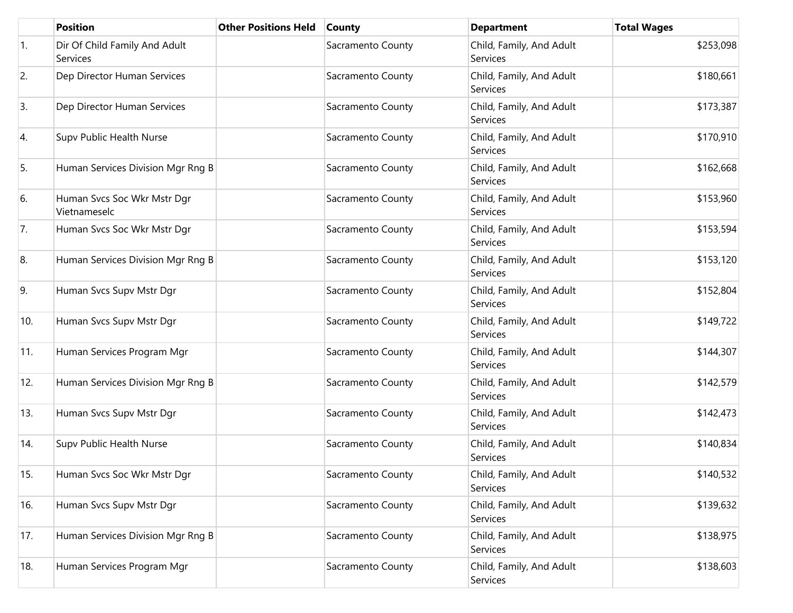|            | <b>Position</b>                             | <b>Other Positions Held</b> | <b>County</b>     | <b>Department</b>                           | <b>Total Wages</b> |
|------------|---------------------------------------------|-----------------------------|-------------------|---------------------------------------------|--------------------|
| $\vert$ 1. | Dir Of Child Family And Adult<br>Services   |                             | Sacramento County | Child, Family, And Adult<br>Services        | \$253,098          |
| 2.         | Dep Director Human Services                 |                             | Sacramento County | Child, Family, And Adult<br><b>Services</b> | \$180,661          |
| 3.         | Dep Director Human Services                 |                             | Sacramento County | Child, Family, And Adult<br>Services        | \$173,387          |
| 4.         | Supv Public Health Nurse                    |                             | Sacramento County | Child, Family, And Adult<br><b>Services</b> | \$170,910          |
| 5.         | Human Services Division Mgr Rng B           |                             | Sacramento County | Child, Family, And Adult<br>Services        | \$162,668          |
| 6.         | Human Svcs Soc Wkr Mstr Dgr<br>Vietnameselc |                             | Sacramento County | Child, Family, And Adult<br><b>Services</b> | \$153,960          |
| 7.         | Human Svcs Soc Wkr Mstr Dgr                 |                             | Sacramento County | Child, Family, And Adult<br>Services        | \$153,594          |
| 8.         | Human Services Division Mgr Rng B           |                             | Sacramento County | Child, Family, And Adult<br>Services        | \$153,120          |
| 9.         | Human Svcs Supv Mstr Dgr                    |                             | Sacramento County | Child, Family, And Adult<br>Services        | \$152,804          |
| 10.        | Human Svcs Supv Mstr Dgr                    |                             | Sacramento County | Child, Family, And Adult<br>Services        | \$149,722          |
| 11.        | Human Services Program Mgr                  |                             | Sacramento County | Child, Family, And Adult<br><b>Services</b> | \$144,307          |
| 12.        | Human Services Division Mgr Rng B           |                             | Sacramento County | Child, Family, And Adult<br>Services        | \$142,579          |
| 13.        | Human Svcs Supv Mstr Dgr                    |                             | Sacramento County | Child, Family, And Adult<br>Services        | \$142,473          |
| 14.        | Supv Public Health Nurse                    |                             | Sacramento County | Child, Family, And Adult<br>Services        | \$140,834          |
| 15.        | Human Svcs Soc Wkr Mstr Dgr                 |                             | Sacramento County | Child, Family, And Adult<br>Services        | \$140,532          |
| 16.        | Human Svcs Supv Mstr Dgr                    |                             | Sacramento County | Child, Family, And Adult<br>Services        | \$139,632          |
| 17.        | Human Services Division Mgr Rng B           |                             | Sacramento County | Child, Family, And Adult<br>Services        | \$138,975          |
| 18.        | Human Services Program Mgr                  |                             | Sacramento County | Child, Family, And Adult<br>Services        | \$138,603          |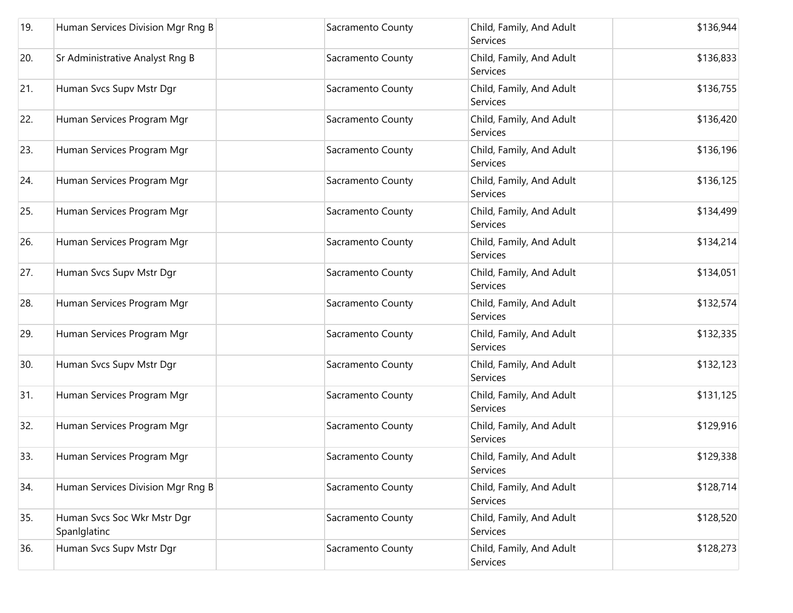| 19. | Human Services Division Mgr Rng B           | Sacramento County | Child, Family, And Adult<br>Services        | \$136,944 |
|-----|---------------------------------------------|-------------------|---------------------------------------------|-----------|
| 20. | Sr Administrative Analyst Rng B             | Sacramento County | Child, Family, And Adult<br>Services        | \$136,833 |
| 21. | Human Svcs Supv Mstr Dgr                    | Sacramento County | Child, Family, And Adult<br>Services        | \$136,755 |
| 22. | Human Services Program Mgr                  | Sacramento County | Child, Family, And Adult<br>Services        | \$136,420 |
| 23. | Human Services Program Mgr                  | Sacramento County | Child, Family, And Adult<br>Services        | \$136,196 |
| 24. | Human Services Program Mgr                  | Sacramento County | Child, Family, And Adult<br>Services        | \$136,125 |
| 25. | Human Services Program Mgr                  | Sacramento County | Child, Family, And Adult<br><b>Services</b> | \$134,499 |
| 26. | Human Services Program Mgr                  | Sacramento County | Child, Family, And Adult<br>Services        | \$134,214 |
| 27. | Human Svcs Supv Mstr Dgr                    | Sacramento County | Child, Family, And Adult<br><b>Services</b> | \$134,051 |
| 28. | Human Services Program Mgr                  | Sacramento County | Child, Family, And Adult<br>Services        | \$132,574 |
| 29. | Human Services Program Mgr                  | Sacramento County | Child, Family, And Adult<br>Services        | \$132,335 |
| 30. | Human Svcs Supv Mstr Dgr                    | Sacramento County | Child, Family, And Adult<br>Services        | \$132,123 |
| 31. | Human Services Program Mgr                  | Sacramento County | Child, Family, And Adult<br>Services        | \$131,125 |
| 32. | Human Services Program Mgr                  | Sacramento County | Child, Family, And Adult<br>Services        | \$129,916 |
| 33. | Human Services Program Mgr                  | Sacramento County | Child, Family, And Adult<br>Services        | \$129,338 |
| 34. | Human Services Division Mgr Rng B           | Sacramento County | Child, Family, And Adult<br>Services        | \$128,714 |
| 35. | Human Svcs Soc Wkr Mstr Dgr<br>Spanlglatinc | Sacramento County | Child, Family, And Adult<br>Services        | \$128,520 |
| 36. | Human Svcs Supv Mstr Dgr                    | Sacramento County | Child, Family, And Adult<br>Services        | \$128,273 |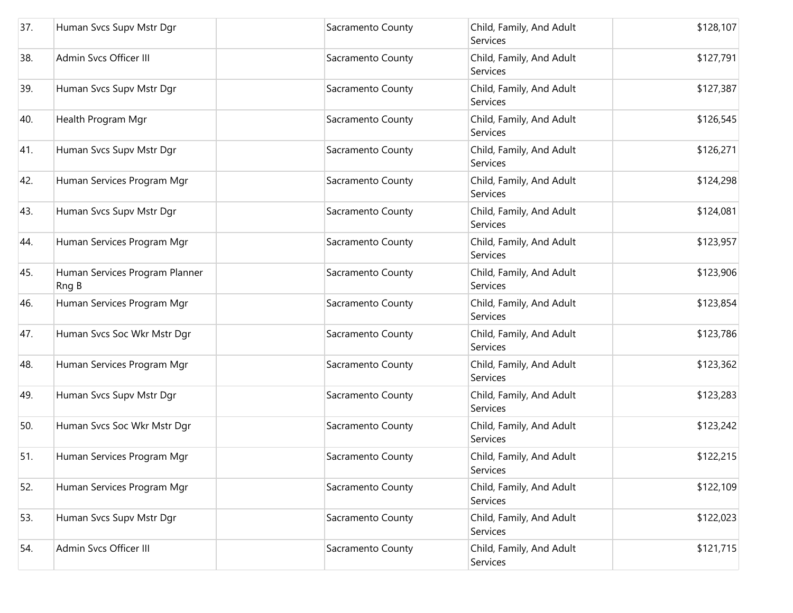| 37. | Human Svcs Supv Mstr Dgr                | Sacramento County | Child, Family, And Adult<br>Services        | \$128,107 |
|-----|-----------------------------------------|-------------------|---------------------------------------------|-----------|
| 38. | Admin Svcs Officer III                  | Sacramento County | Child, Family, And Adult<br>Services        | \$127,791 |
| 39. | Human Svcs Supv Mstr Dgr                | Sacramento County | Child, Family, And Adult<br>Services        | \$127,387 |
| 40. | Health Program Mgr                      | Sacramento County | Child, Family, And Adult<br>Services        | \$126,545 |
| 41. | Human Svcs Supv Mstr Dgr                | Sacramento County | Child, Family, And Adult<br>Services        | \$126,271 |
| 42. | Human Services Program Mgr              | Sacramento County | Child, Family, And Adult<br>Services        | \$124,298 |
| 43. | Human Svcs Supv Mstr Dgr                | Sacramento County | Child, Family, And Adult<br><b>Services</b> | \$124,081 |
| 44. | Human Services Program Mgr              | Sacramento County | Child, Family, And Adult<br>Services        | \$123,957 |
| 45. | Human Services Program Planner<br>Rng B | Sacramento County | Child, Family, And Adult<br>Services        | \$123,906 |
| 46. | Human Services Program Mgr              | Sacramento County | Child, Family, And Adult<br>Services        | \$123,854 |
| 47. | Human Svcs Soc Wkr Mstr Dgr             | Sacramento County | Child, Family, And Adult<br>Services        | \$123,786 |
| 48. | Human Services Program Mgr              | Sacramento County | Child, Family, And Adult<br>Services        | \$123,362 |
| 49. | Human Svcs Supv Mstr Dgr                | Sacramento County | Child, Family, And Adult<br>Services        | \$123,283 |
| 50. | Human Svcs Soc Wkr Mstr Dgr             | Sacramento County | Child, Family, And Adult<br>Services        | \$123,242 |
| 51. | Human Services Program Mgr              | Sacramento County | Child, Family, And Adult<br>Services        | \$122,215 |
| 52. | Human Services Program Mgr              | Sacramento County | Child, Family, And Adult<br>Services        | \$122,109 |
| 53. | Human Svcs Supv Mstr Dgr                | Sacramento County | Child, Family, And Adult<br>Services        | \$122,023 |
| 54. | Admin Svcs Officer III                  | Sacramento County | Child, Family, And Adult<br>Services        | \$121,715 |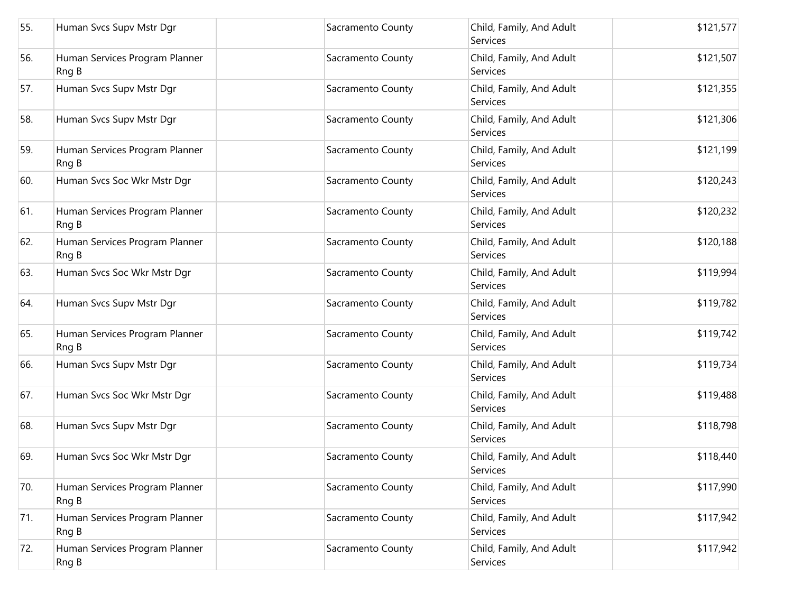| 55. | Human Svcs Supv Mstr Dgr                | Sacramento County | Child, Family, And Adult<br><b>Services</b> | \$121,577 |
|-----|-----------------------------------------|-------------------|---------------------------------------------|-----------|
| 56. | Human Services Program Planner<br>Rng B | Sacramento County | Child, Family, And Adult<br>Services        | \$121,507 |
| 57. | Human Svcs Supv Mstr Dgr                | Sacramento County | Child, Family, And Adult<br>Services        | \$121,355 |
| 58. | Human Svcs Supv Mstr Dgr                | Sacramento County | Child, Family, And Adult<br>Services        | \$121,306 |
| 59. | Human Services Program Planner<br>Rng B | Sacramento County | Child, Family, And Adult<br>Services        | \$121,199 |
| 60. | Human Svcs Soc Wkr Mstr Dgr             | Sacramento County | Child, Family, And Adult<br><b>Services</b> | \$120,243 |
| 61. | Human Services Program Planner<br>Rng B | Sacramento County | Child, Family, And Adult<br><b>Services</b> | \$120,232 |
| 62. | Human Services Program Planner<br>Rng B | Sacramento County | Child, Family, And Adult<br><b>Services</b> | \$120,188 |
| 63. | Human Svcs Soc Wkr Mstr Dgr             | Sacramento County | Child, Family, And Adult<br><b>Services</b> | \$119,994 |
| 64. | Human Svcs Supv Mstr Dgr                | Sacramento County | Child, Family, And Adult<br>Services        | \$119,782 |
| 65. | Human Services Program Planner<br>Rng B | Sacramento County | Child, Family, And Adult<br>Services        | \$119,742 |
| 66. | Human Svcs Supv Mstr Dgr                | Sacramento County | Child, Family, And Adult<br>Services        | \$119,734 |
| 67. | Human Svcs Soc Wkr Mstr Dgr             | Sacramento County | Child, Family, And Adult<br><b>Services</b> | \$119,488 |
| 68. | Human Svcs Supv Mstr Dgr                | Sacramento County | Child, Family, And Adult<br>Services        | \$118,798 |
| 69. | Human Svcs Soc Wkr Mstr Dgr             | Sacramento County | Child, Family, And Adult<br>Services        | \$118,440 |
| 70. | Human Services Program Planner<br>Rng B | Sacramento County | Child, Family, And Adult<br>Services        | \$117,990 |
| 71. | Human Services Program Planner<br>Rng B | Sacramento County | Child, Family, And Adult<br>Services        | \$117,942 |
| 72. | Human Services Program Planner<br>Rng B | Sacramento County | Child, Family, And Adult<br><b>Services</b> | \$117,942 |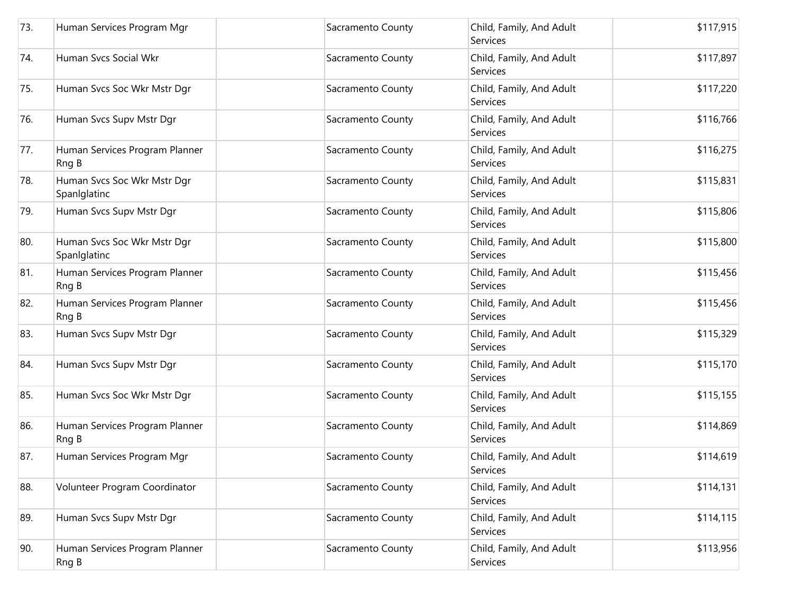| 73. | Human Services Program Mgr                  | Sacramento County | Child, Family, And Adult<br>Services        | \$117,915 |
|-----|---------------------------------------------|-------------------|---------------------------------------------|-----------|
| 74. | Human Svcs Social Wkr                       | Sacramento County | Child, Family, And Adult<br>Services        | \$117,897 |
| 75. | Human Svcs Soc Wkr Mstr Dgr                 | Sacramento County | Child, Family, And Adult<br>Services        | \$117,220 |
| 76. | Human Svcs Supv Mstr Dgr                    | Sacramento County | Child, Family, And Adult<br>Services        | \$116,766 |
| 77. | Human Services Program Planner<br>Rng B     | Sacramento County | Child, Family, And Adult<br>Services        | \$116,275 |
| 78. | Human Svcs Soc Wkr Mstr Dgr<br>Spanlglatinc | Sacramento County | Child, Family, And Adult<br>Services        | \$115,831 |
| 79. | Human Svcs Supv Mstr Dgr                    | Sacramento County | Child, Family, And Adult<br>Services        | \$115,806 |
| 80. | Human Svcs Soc Wkr Mstr Dgr<br>Spanlglatinc | Sacramento County | Child, Family, And Adult<br>Services        | \$115,800 |
| 81. | Human Services Program Planner<br>Rng B     | Sacramento County | Child, Family, And Adult<br><b>Services</b> | \$115,456 |
| 82. | Human Services Program Planner<br>Rng B     | Sacramento County | Child, Family, And Adult<br>Services        | \$115,456 |
| 83. | Human Svcs Supv Mstr Dgr                    | Sacramento County | Child, Family, And Adult<br>Services        | \$115,329 |
| 84. | Human Svcs Supv Mstr Dgr                    | Sacramento County | Child, Family, And Adult<br>Services        | \$115,170 |
| 85. | Human Svcs Soc Wkr Mstr Dgr                 | Sacramento County | Child, Family, And Adult<br>Services        | \$115,155 |
| 86. | Human Services Program Planner<br>Rng B     | Sacramento County | Child, Family, And Adult<br>Services        | \$114,869 |
| 87. | Human Services Program Mgr                  | Sacramento County | Child, Family, And Adult<br>Services        | \$114,619 |
| 88. | Volunteer Program Coordinator               | Sacramento County | Child, Family, And Adult<br>Services        | \$114,131 |
| 89. | Human Svcs Supv Mstr Dgr                    | Sacramento County | Child, Family, And Adult<br>Services        | \$114,115 |
| 90. | Human Services Program Planner<br>Rng B     | Sacramento County | Child, Family, And Adult<br>Services        | \$113,956 |